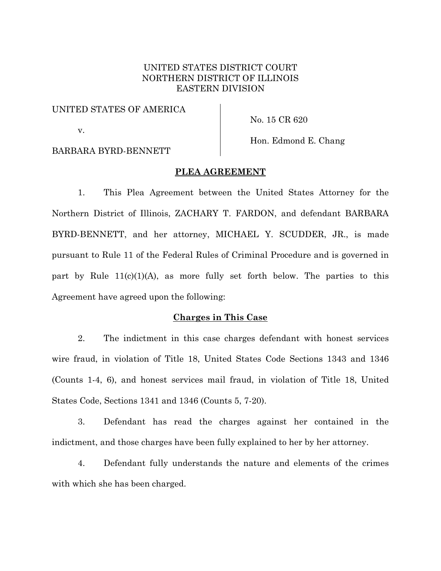# UNITED STATES DISTRICT COURT NORTHERN DISTRICT OF ILLINOIS EASTERN DIVISION

## UNITED STATES OF AMERICA

v.

No. 15 CR 620

# BARBARA BYRD-BENNETT

# Hon. Edmond E. Chang

# **PLEA AGREEMENT**

1. This Plea Agreement between the United States Attorney for the Northern District of Illinois, ZACHARY T. FARDON, and defendant BARBARA BYRD-BENNETT, and her attorney, MICHAEL Y. SCUDDER, JR., is made pursuant to Rule 11 of the Federal Rules of Criminal Procedure and is governed in part by Rule  $11(c)(1)(A)$ , as more fully set forth below. The parties to this Agreement have agreed upon the following:

# **Charges in This Case**

2. The indictment in this case charges defendant with honest services wire fraud, in violation of Title 18, United States Code Sections 1343 and 1346 (Counts 1-4, 6), and honest services mail fraud, in violation of Title 18, United States Code, Sections 1341 and 1346 (Counts 5, 7-20).

3. Defendant has read the charges against her contained in the indictment, and those charges have been fully explained to her by her attorney.

4. Defendant fully understands the nature and elements of the crimes with which she has been charged.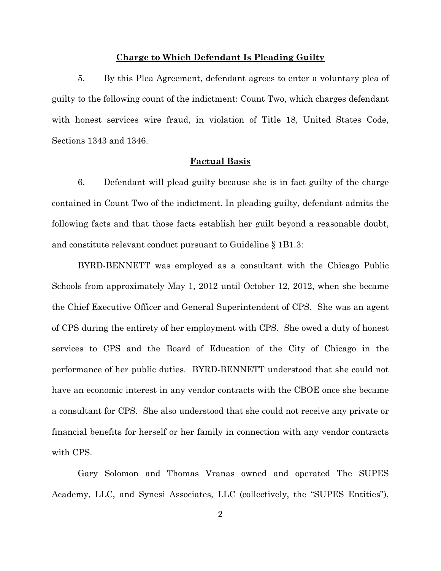#### **Charge to Which Defendant Is Pleading Guilty**

5. By this Plea Agreement, defendant agrees to enter a voluntary plea of guilty to the following count of the indictment: Count Two, which charges defendant with honest services wire fraud, in violation of Title 18, United States Code, Sections 1343 and 1346.

#### **Factual Basis**

6. Defendant will plead guilty because she is in fact guilty of the charge contained in Count Two of the indictment. In pleading guilty, defendant admits the following facts and that those facts establish her guilt beyond a reasonable doubt, and constitute relevant conduct pursuant to Guideline § 1B1.3:

BYRD-BENNETT was employed as a consultant with the Chicago Public Schools from approximately May 1, 2012 until October 12, 2012, when she became the Chief Executive Officer and General Superintendent of CPS. She was an agent of CPS during the entirety of her employment with CPS. She owed a duty of honest services to CPS and the Board of Education of the City of Chicago in the performance of her public duties. BYRD-BENNETT understood that she could not have an economic interest in any vendor contracts with the CBOE once she became a consultant for CPS. She also understood that she could not receive any private or financial benefits for herself or her family in connection with any vendor contracts with CPS.

Gary Solomon and Thomas Vranas owned and operated The SUPES Academy, LLC, and Synesi Associates, LLC (collectively, the "SUPES Entities"),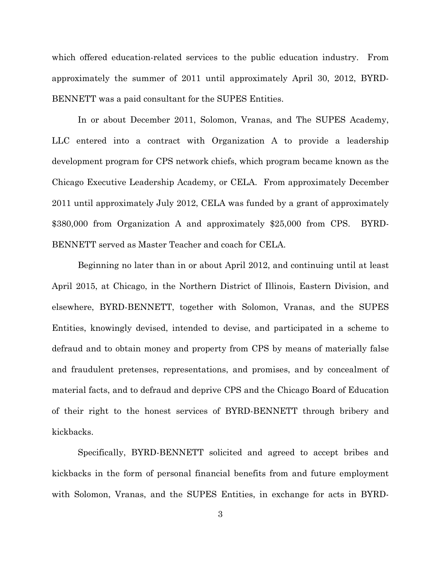which offered education-related services to the public education industry. From approximately the summer of 2011 until approximately April 30, 2012, BYRD-BENNETT was a paid consultant for the SUPES Entities.

In or about December 2011, Solomon, Vranas, and The SUPES Academy, LLC entered into a contract with Organization A to provide a leadership development program for CPS network chiefs, which program became known as the Chicago Executive Leadership Academy, or CELA. From approximately December 2011 until approximately July 2012, CELA was funded by a grant of approximately \$380,000 from Organization A and approximately \$25,000 from CPS. BYRD-BENNETT served as Master Teacher and coach for CELA.

Beginning no later than in or about April 2012, and continuing until at least April 2015, at Chicago, in the Northern District of Illinois, Eastern Division, and elsewhere, BYRD-BENNETT, together with Solomon, Vranas, and the SUPES Entities, knowingly devised, intended to devise, and participated in a scheme to defraud and to obtain money and property from CPS by means of materially false and fraudulent pretenses, representations, and promises, and by concealment of material facts, and to defraud and deprive CPS and the Chicago Board of Education of their right to the honest services of BYRD-BENNETT through bribery and kickbacks.

Specifically, BYRD-BENNETT solicited and agreed to accept bribes and kickbacks in the form of personal financial benefits from and future employment with Solomon, Vranas, and the SUPES Entities, in exchange for acts in BYRD-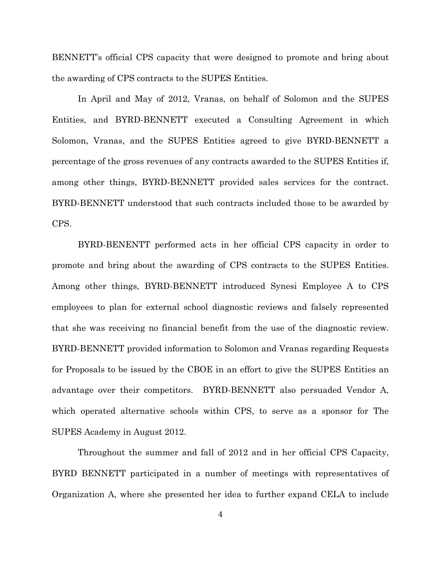BENNETT's official CPS capacity that were designed to promote and bring about the awarding of CPS contracts to the SUPES Entities.

In April and May of 2012, Vranas, on behalf of Solomon and the SUPES Entities, and BYRD-BENNETT executed a Consulting Agreement in which Solomon, Vranas, and the SUPES Entities agreed to give BYRD-BENNETT a percentage of the gross revenues of any contracts awarded to the SUPES Entities if, among other things, BYRD-BENNETT provided sales services for the contract. BYRD-BENNETT understood that such contracts included those to be awarded by CPS.

BYRD-BENENTT performed acts in her official CPS capacity in order to promote and bring about the awarding of CPS contracts to the SUPES Entities. Among other things, BYRD-BENNETT introduced Synesi Employee A to CPS employees to plan for external school diagnostic reviews and falsely represented that she was receiving no financial benefit from the use of the diagnostic review. BYRD-BENNETT provided information to Solomon and Vranas regarding Requests for Proposals to be issued by the CBOE in an effort to give the SUPES Entities an advantage over their competitors. BYRD-BENNETT also persuaded Vendor A, which operated alternative schools within CPS, to serve as a sponsor for The SUPES Academy in August 2012.

Throughout the summer and fall of 2012 and in her official CPS Capacity, BYRD BENNETT participated in a number of meetings with representatives of Organization A, where she presented her idea to further expand CELA to include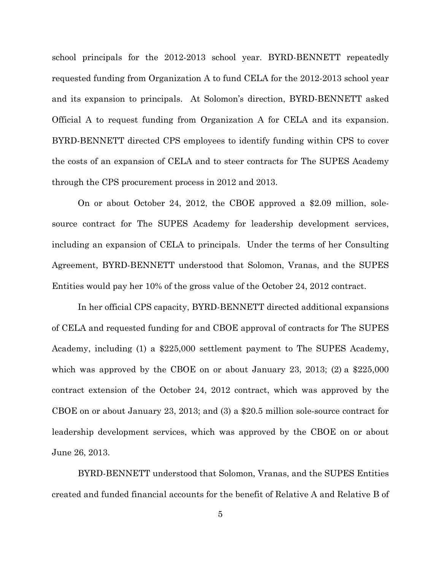school principals for the 2012-2013 school year. BYRD-BENNETT repeatedly requested funding from Organization A to fund CELA for the 2012-2013 school year and its expansion to principals. At Solomon's direction, BYRD-BENNETT asked Official A to request funding from Organization A for CELA and its expansion. BYRD-BENNETT directed CPS employees to identify funding within CPS to cover the costs of an expansion of CELA and to steer contracts for The SUPES Academy through the CPS procurement process in 2012 and 2013.

On or about October 24, 2012, the CBOE approved a \$2.09 million, solesource contract for The SUPES Academy for leadership development services, including an expansion of CELA to principals. Under the terms of her Consulting Agreement, BYRD-BENNETT understood that Solomon, Vranas, and the SUPES Entities would pay her 10% of the gross value of the October 24, 2012 contract.

In her official CPS capacity, BYRD-BENNETT directed additional expansions of CELA and requested funding for and CBOE approval of contracts for The SUPES Academy, including (1) a \$225,000 settlement payment to The SUPES Academy, which was approved by the CBOE on or about January 23, 2013; (2) a \$225,000 contract extension of the October 24, 2012 contract, which was approved by the CBOE on or about January 23, 2013; and (3) a \$20.5 million sole-source contract for leadership development services, which was approved by the CBOE on or about June 26, 2013.

BYRD-BENNETT understood that Solomon, Vranas, and the SUPES Entities created and funded financial accounts for the benefit of Relative A and Relative B of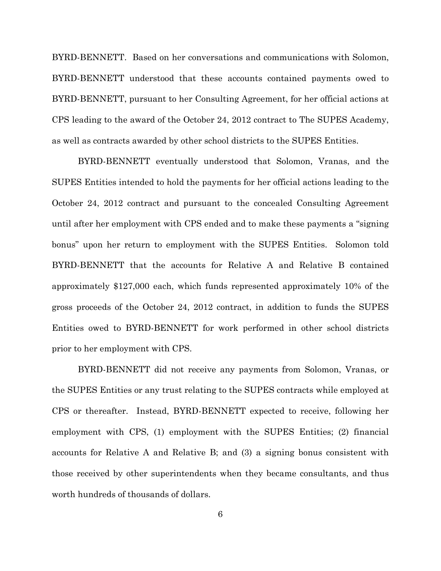BYRD-BENNETT. Based on her conversations and communications with Solomon, BYRD-BENNETT understood that these accounts contained payments owed to BYRD-BENNETT, pursuant to her Consulting Agreement, for her official actions at CPS leading to the award of the October 24, 2012 contract to The SUPES Academy, as well as contracts awarded by other school districts to the SUPES Entities.

BYRD-BENNETT eventually understood that Solomon, Vranas, and the SUPES Entities intended to hold the payments for her official actions leading to the October 24, 2012 contract and pursuant to the concealed Consulting Agreement until after her employment with CPS ended and to make these payments a "signing bonus" upon her return to employment with the SUPES Entities. Solomon told BYRD-BENNETT that the accounts for Relative A and Relative B contained approximately \$127,000 each, which funds represented approximately 10% of the gross proceeds of the October 24, 2012 contract, in addition to funds the SUPES Entities owed to BYRD-BENNETT for work performed in other school districts prior to her employment with CPS.

BYRD-BENNETT did not receive any payments from Solomon, Vranas, or the SUPES Entities or any trust relating to the SUPES contracts while employed at CPS or thereafter. Instead, BYRD-BENNETT expected to receive, following her employment with CPS, (1) employment with the SUPES Entities; (2) financial accounts for Relative A and Relative B; and (3) a signing bonus consistent with those received by other superintendents when they became consultants, and thus worth hundreds of thousands of dollars.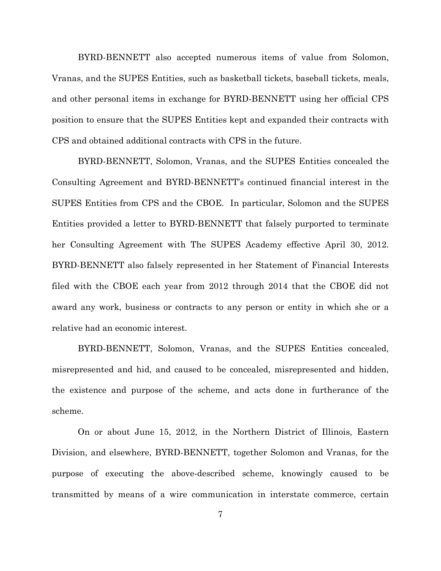BYRD-BENNETT also accepted numerous items of value from Solomon, Vranas, and the SUPES Entities, such as basketball tickets, baseball tickets, meals, and other personal items in exchange for BYRD-BENNETT using her official CPS position to ensure that the SUPES Entities kept and expanded their contracts with CPS and obtained additional contracts with CPS in the future.

BYRD-BENNETT, Solomon, Vranas, and the SUPES Entities concealed the Consulting Agreement and BYRD-BENNETT's continued financial interest in the SUPES Entities from CPS and the CBOE. In particular, Solomon and the SUPES Entities provided a letter to BYRD-BENNETT that falsely purported to terminate her Consulting Agreement with The SUPES Academy effective April 30, 2012. BYRD-BENNETT also falsely represented in her Statement of Financial Interests filed with the CBOE each year from 2012 through 2014 that the CBOE did not award any work, business or contracts to any person or entity in which she or a relative had an economic interest.

BYRD-BENNETT, Solomon, Vranas, and the SUPES Entities concealed, misrepresented and hid, and caused to be concealed, misrepresented and hidden, the existence and purpose of the scheme, and acts done in furtherance of the scheme.

On or about June 15, 2012, in the Northern District of Illinois, Eastern Division, and elsewhere, BYRD-BENNETT, together Solomon and Vranas, for the purpose of executing the above-described scheme, knowingly caused to be transmitted by means of a wire communication in interstate commerce, certain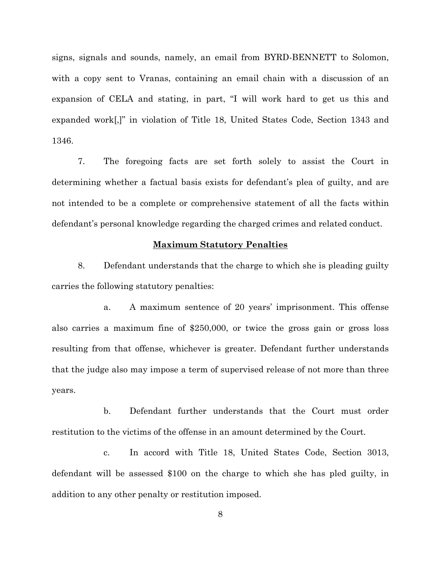signs, signals and sounds, namely, an email from BYRD-BENNETT to Solomon, with a copy sent to Vranas, containing an email chain with a discussion of an expansion of CELA and stating, in part, "I will work hard to get us this and expanded work[,]" in violation of Title 18, United States Code, Section 1343 and 1346.

7. The foregoing facts are set forth solely to assist the Court in determining whether a factual basis exists for defendant's plea of guilty, and are not intended to be a complete or comprehensive statement of all the facts within defendant's personal knowledge regarding the charged crimes and related conduct.

#### **Maximum Statutory Penalties**

8. Defendant understands that the charge to which she is pleading guilty carries the following statutory penalties:

a. A maximum sentence of 20 years' imprisonment. This offense also carries a maximum fine of \$250,000, or twice the gross gain or gross loss resulting from that offense, whichever is greater. Defendant further understands that the judge also may impose a term of supervised release of not more than three years.

b. Defendant further understands that the Court must order restitution to the victims of the offense in an amount determined by the Court.

c. In accord with Title 18, United States Code, Section 3013, defendant will be assessed \$100 on the charge to which she has pled guilty, in addition to any other penalty or restitution imposed.

8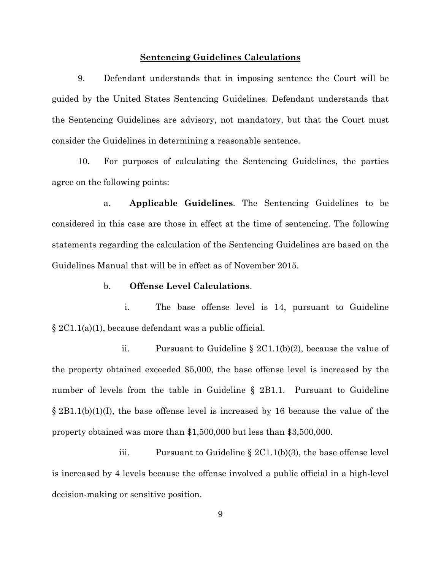#### **Sentencing Guidelines Calculations**

9. Defendant understands that in imposing sentence the Court will be guided by the United States Sentencing Guidelines. Defendant understands that the Sentencing Guidelines are advisory, not mandatory, but that the Court must consider the Guidelines in determining a reasonable sentence.

10. For purposes of calculating the Sentencing Guidelines, the parties agree on the following points:

a. **Applicable Guidelines**. The Sentencing Guidelines to be considered in this case are those in effect at the time of sentencing. The following statements regarding the calculation of the Sentencing Guidelines are based on the Guidelines Manual that will be in effect as of November 2015.

## b. **Offense Level Calculations**.

i. The base offense level is 14, pursuant to Guideline § 2C1.1(a)(1), because defendant was a public official.

ii. Pursuant to Guideline § 2C1.1(b)(2), because the value of the property obtained exceeded \$5,000, the base offense level is increased by the number of levels from the table in Guideline § 2B1.1. Pursuant to Guideline  $\S 2B1.1(b)(1)(I)$ , the base offense level is increased by 16 because the value of the property obtained was more than \$1,500,000 but less than \$3,500,000.

iii. Pursuant to Guideline § 2C1.1(b)(3), the base offense level is increased by 4 levels because the offense involved a public official in a high-level decision-making or sensitive position.

9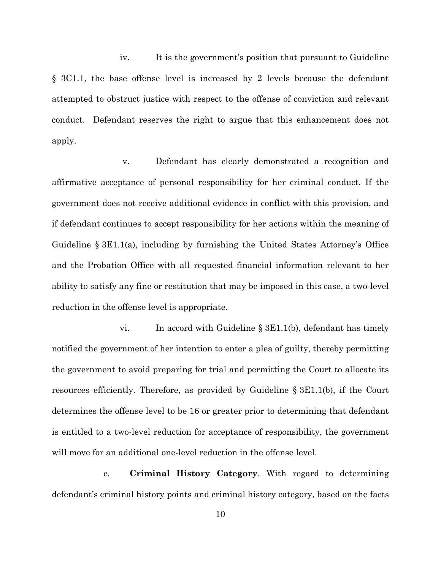iv. It is the government's position that pursuant to Guideline § 3C1.1, the base offense level is increased by 2 levels because the defendant attempted to obstruct justice with respect to the offense of conviction and relevant conduct. Defendant reserves the right to argue that this enhancement does not apply.

v. Defendant has clearly demonstrated a recognition and affirmative acceptance of personal responsibility for her criminal conduct. If the government does not receive additional evidence in conflict with this provision, and if defendant continues to accept responsibility for her actions within the meaning of Guideline § 3E1.1(a), including by furnishing the United States Attorney's Office and the Probation Office with all requested financial information relevant to her ability to satisfy any fine or restitution that may be imposed in this case, a two-level reduction in the offense level is appropriate.

vi. In accord with Guideline § 3E1.1(b), defendant has timely notified the government of her intention to enter a plea of guilty, thereby permitting the government to avoid preparing for trial and permitting the Court to allocate its resources efficiently. Therefore, as provided by Guideline § 3E1.1(b), if the Court determines the offense level to be 16 or greater prior to determining that defendant is entitled to a two-level reduction for acceptance of responsibility, the government will move for an additional one-level reduction in the offense level.

c. **Criminal History Category**. With regard to determining defendant's criminal history points and criminal history category, based on the facts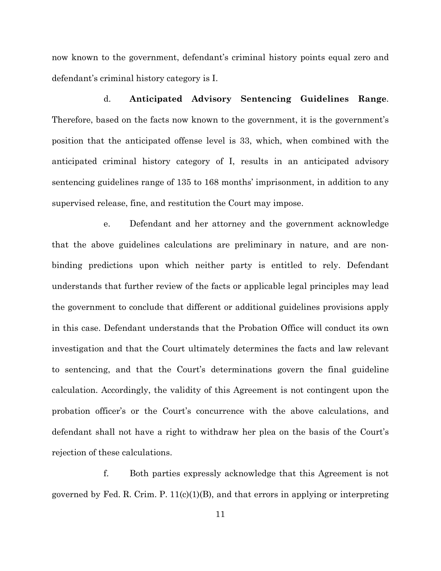now known to the government, defendant's criminal history points equal zero and defendant's criminal history category is I.

d. **Anticipated Advisory Sentencing Guidelines Range**. Therefore, based on the facts now known to the government, it is the government's position that the anticipated offense level is 33, which, when combined with the anticipated criminal history category of I, results in an anticipated advisory sentencing guidelines range of 135 to 168 months' imprisonment, in addition to any supervised release, fine, and restitution the Court may impose.

e. Defendant and her attorney and the government acknowledge that the above guidelines calculations are preliminary in nature, and are nonbinding predictions upon which neither party is entitled to rely. Defendant understands that further review of the facts or applicable legal principles may lead the government to conclude that different or additional guidelines provisions apply in this case. Defendant understands that the Probation Office will conduct its own investigation and that the Court ultimately determines the facts and law relevant to sentencing, and that the Court's determinations govern the final guideline calculation. Accordingly, the validity of this Agreement is not contingent upon the probation officer's or the Court's concurrence with the above calculations, and defendant shall not have a right to withdraw her plea on the basis of the Court's rejection of these calculations.

f. Both parties expressly acknowledge that this Agreement is not governed by Fed. R. Crim. P.  $11(c)(1)(B)$ , and that errors in applying or interpreting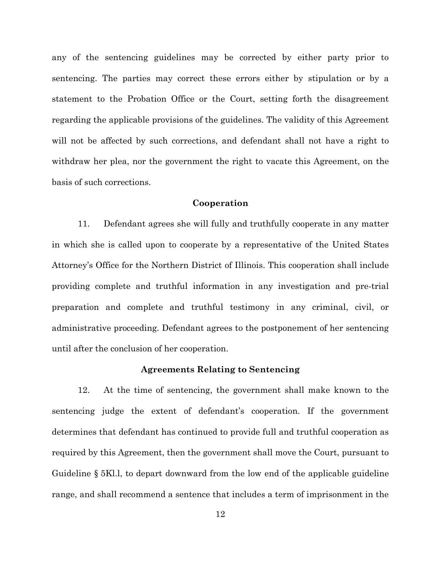any of the sentencing guidelines may be corrected by either party prior to sentencing. The parties may correct these errors either by stipulation or by a statement to the Probation Office or the Court, setting forth the disagreement regarding the applicable provisions of the guidelines. The validity of this Agreement will not be affected by such corrections, and defendant shall not have a right to withdraw her plea, nor the government the right to vacate this Agreement, on the basis of such corrections.

## **Cooperation**

11. Defendant agrees she will fully and truthfully cooperate in any matter in which she is called upon to cooperate by a representative of the United States Attorney's Office for the Northern District of Illinois. This cooperation shall include providing complete and truthful information in any investigation and pre-trial preparation and complete and truthful testimony in any criminal, civil, or administrative proceeding. Defendant agrees to the postponement of her sentencing until after the conclusion of her cooperation.

#### **Agreements Relating to Sentencing**

12. At the time of sentencing, the government shall make known to the sentencing judge the extent of defendant's cooperation. If the government determines that defendant has continued to provide full and truthful cooperation as required by this Agreement, then the government shall move the Court, pursuant to Guideline § 5Kl.l, to depart downward from the low end of the applicable guideline range, and shall recommend a sentence that includes a term of imprisonment in the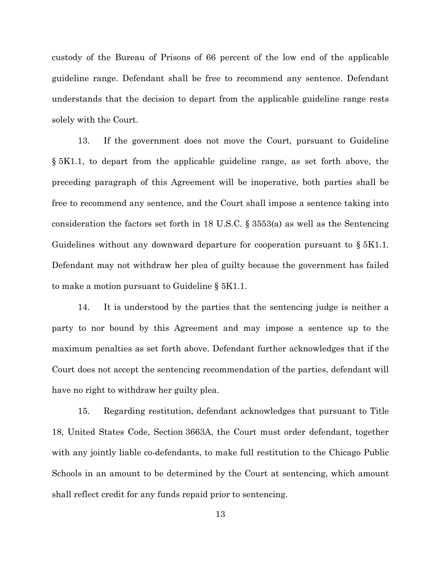custody of the Bureau of Prisons of 66 percent of the low end of the applicable guideline range. Defendant shall be free to recommend any sentence. Defendant understands that the decision to depart from the applicable guideline range rests solely with the Court.

13. If the government does not move the Court, pursuant to Guideline § 5K1.1, to depart from the applicable guideline range, as set forth above, the preceding paragraph of this Agreement will be inoperative, both parties shall be free to recommend any sentence, and the Court shall impose a sentence taking into consideration the factors set forth in 18 U.S.C. § 3553(a) as well as the Sentencing Guidelines without any downward departure for cooperation pursuant to  $\S 5K1.1$ . Defendant may not withdraw her plea of guilty because the government has failed to make a motion pursuant to Guideline § 5K1.1.

14. It is understood by the parties that the sentencing judge is neither a party to nor bound by this Agreement and may impose a sentence up to the maximum penalties as set forth above. Defendant further acknowledges that if the Court does not accept the sentencing recommendation of the parties, defendant will have no right to withdraw her guilty plea.

15. Regarding restitution, defendant acknowledges that pursuant to Title 18, United States Code, Section 3663A, the Court must order defendant, together with any jointly liable co-defendants, to make full restitution to the Chicago Public Schools in an amount to be determined by the Court at sentencing, which amount shall reflect credit for any funds repaid prior to sentencing.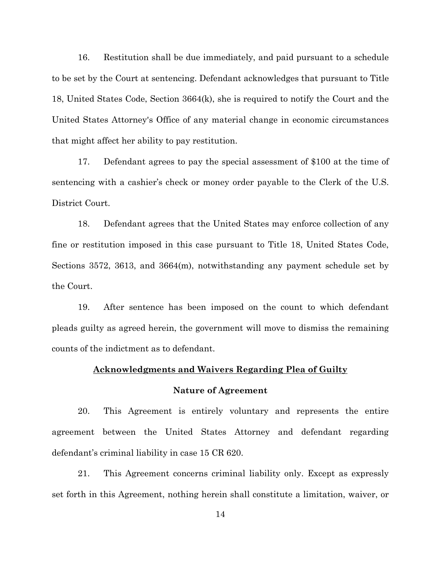16. Restitution shall be due immediately, and paid pursuant to a schedule to be set by the Court at sentencing. Defendant acknowledges that pursuant to Title 18, United States Code, Section 3664(k), she is required to notify the Court and the United States Attorney's Office of any material change in economic circumstances that might affect her ability to pay restitution.

17. Defendant agrees to pay the special assessment of \$100 at the time of sentencing with a cashier's check or money order payable to the Clerk of the U.S. District Court.

18. Defendant agrees that the United States may enforce collection of any fine or restitution imposed in this case pursuant to Title 18, United States Code, Sections 3572, 3613, and 3664(m), notwithstanding any payment schedule set by the Court.

19. After sentence has been imposed on the count to which defendant pleads guilty as agreed herein, the government will move to dismiss the remaining counts of the indictment as to defendant.

# **Acknowledgments and Waivers Regarding Plea of Guilty**

# **Nature of Agreement**

20. This Agreement is entirely voluntary and represents the entire agreement between the United States Attorney and defendant regarding defendant's criminal liability in case 15 CR 620.

21. This Agreement concerns criminal liability only. Except as expressly set forth in this Agreement, nothing herein shall constitute a limitation, waiver, or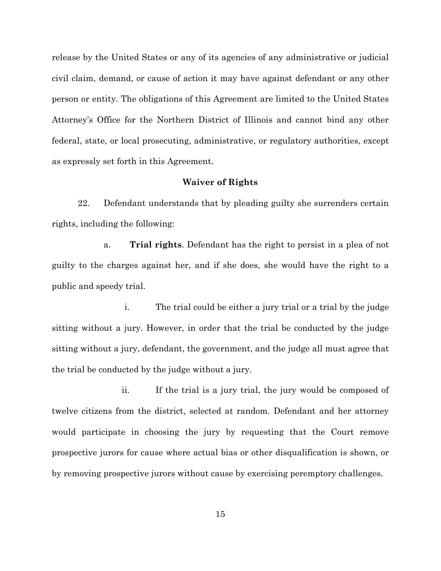release by the United States or any of its agencies of any administrative or judicial civil claim, demand, or cause of action it may have against defendant or any other person or entity. The obligations of this Agreement are limited to the United States Attorney's Office for the Northern District of Illinois and cannot bind any other federal, state, or local prosecuting, administrative, or regulatory authorities, except as expressly set forth in this Agreement.

# **Waiver of Rights**

22. Defendant understands that by pleading guilty she surrenders certain rights, including the following:

a. **Trial rights**. Defendant has the right to persist in a plea of not guilty to the charges against her, and if she does, she would have the right to a public and speedy trial.

i. The trial could be either a jury trial or a trial by the judge sitting without a jury. However, in order that the trial be conducted by the judge sitting without a jury, defendant, the government, and the judge all must agree that the trial be conducted by the judge without a jury.

ii. If the trial is a jury trial, the jury would be composed of twelve citizens from the district, selected at random. Defendant and her attorney would participate in choosing the jury by requesting that the Court remove prospective jurors for cause where actual bias or other disqualification is shown, or by removing prospective jurors without cause by exercising peremptory challenges.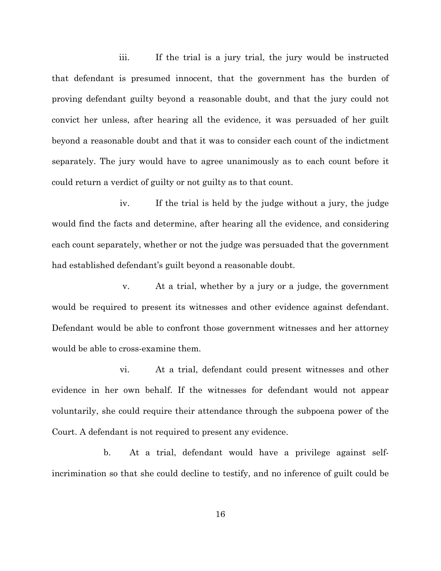iii. If the trial is a jury trial, the jury would be instructed that defendant is presumed innocent, that the government has the burden of proving defendant guilty beyond a reasonable doubt, and that the jury could not convict her unless, after hearing all the evidence, it was persuaded of her guilt beyond a reasonable doubt and that it was to consider each count of the indictment separately. The jury would have to agree unanimously as to each count before it could return a verdict of guilty or not guilty as to that count.

iv. If the trial is held by the judge without a jury, the judge would find the facts and determine, after hearing all the evidence, and considering each count separately, whether or not the judge was persuaded that the government had established defendant's guilt beyond a reasonable doubt.

v. At a trial, whether by a jury or a judge, the government would be required to present its witnesses and other evidence against defendant. Defendant would be able to confront those government witnesses and her attorney would be able to cross-examine them.

vi. At a trial, defendant could present witnesses and other evidence in her own behalf. If the witnesses for defendant would not appear voluntarily, she could require their attendance through the subpoena power of the Court. A defendant is not required to present any evidence.

b. At a trial, defendant would have a privilege against selfincrimination so that she could decline to testify, and no inference of guilt could be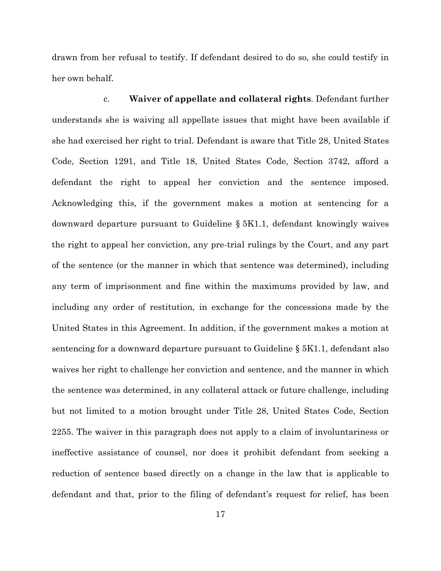drawn from her refusal to testify. If defendant desired to do so, she could testify in her own behalf.

c. **Waiver of appellate and collateral rights**. Defendant further understands she is waiving all appellate issues that might have been available if she had exercised her right to trial. Defendant is aware that Title 28, United States Code, Section 1291, and Title 18, United States Code, Section 3742, afford a defendant the right to appeal her conviction and the sentence imposed. Acknowledging this, if the government makes a motion at sentencing for a downward departure pursuant to Guideline § 5K1.1, defendant knowingly waives the right to appeal her conviction, any pre-trial rulings by the Court, and any part of the sentence (or the manner in which that sentence was determined), including any term of imprisonment and fine within the maximums provided by law, and including any order of restitution, in exchange for the concessions made by the United States in this Agreement. In addition, if the government makes a motion at sentencing for a downward departure pursuant to Guideline § 5K1.1, defendant also waives her right to challenge her conviction and sentence, and the manner in which the sentence was determined, in any collateral attack or future challenge, including but not limited to a motion brought under Title 28, United States Code, Section 2255. The waiver in this paragraph does not apply to a claim of involuntariness or ineffective assistance of counsel, nor does it prohibit defendant from seeking a reduction of sentence based directly on a change in the law that is applicable to defendant and that, prior to the filing of defendant's request for relief, has been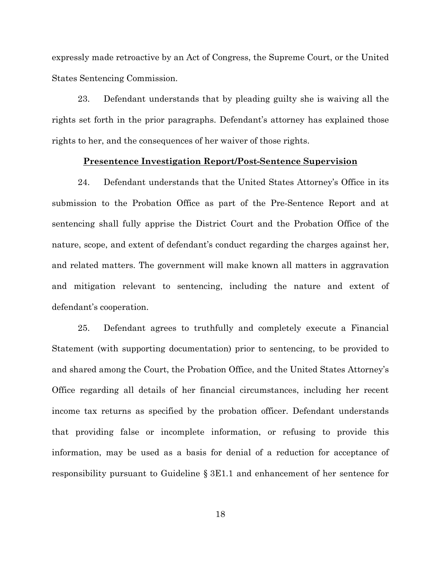expressly made retroactive by an Act of Congress, the Supreme Court, or the United States Sentencing Commission.

23. Defendant understands that by pleading guilty she is waiving all the rights set forth in the prior paragraphs. Defendant's attorney has explained those rights to her, and the consequences of her waiver of those rights.

#### **Presentence Investigation Report/Post-Sentence Supervision**

24. Defendant understands that the United States Attorney's Office in its submission to the Probation Office as part of the Pre-Sentence Report and at sentencing shall fully apprise the District Court and the Probation Office of the nature, scope, and extent of defendant's conduct regarding the charges against her, and related matters. The government will make known all matters in aggravation and mitigation relevant to sentencing, including the nature and extent of defendant's cooperation.

25. Defendant agrees to truthfully and completely execute a Financial Statement (with supporting documentation) prior to sentencing, to be provided to and shared among the Court, the Probation Office, and the United States Attorney's Office regarding all details of her financial circumstances, including her recent income tax returns as specified by the probation officer. Defendant understands that providing false or incomplete information, or refusing to provide this information, may be used as a basis for denial of a reduction for acceptance of responsibility pursuant to Guideline § 3E1.1 and enhancement of her sentence for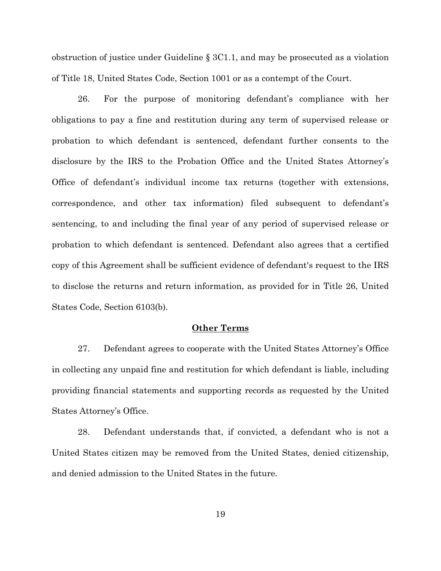obstruction of justice under Guideline § 3C1.1, and may be prosecuted as a violation of Title 18, United States Code, Section 1001 or as a contempt of the Court.

26. For the purpose of monitoring defendant's compliance with her obligations to pay a fine and restitution during any term of supervised release or probation to which defendant is sentenced, defendant further consents to the disclosure by the IRS to the Probation Office and the United States Attorney's Office of defendant's individual income tax returns (together with extensions, correspondence, and other tax information) filed subsequent to defendant's sentencing, to and including the final year of any period of supervised release or probation to which defendant is sentenced. Defendant also agrees that a certified copy of this Agreement shall be sufficient evidence of defendant's request to the IRS to disclose the returns and return information, as provided for in Title 26, United States Code, Section 6103(b).

#### **Other Terms**

27. Defendant agrees to cooperate with the United States Attorney's Office in collecting any unpaid fine and restitution for which defendant is liable, including providing financial statements and supporting records as requested by the United States Attorney's Office.

28. Defendant understands that, if convicted, a defendant who is not a United States citizen may be removed from the United States, denied citizenship, and denied admission to the United States in the future.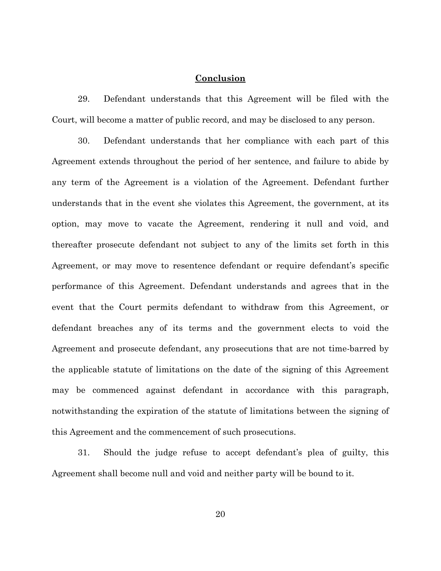## **Conclusion**

29. Defendant understands that this Agreement will be filed with the Court, will become a matter of public record, and may be disclosed to any person.

30. Defendant understands that her compliance with each part of this Agreement extends throughout the period of her sentence, and failure to abide by any term of the Agreement is a violation of the Agreement. Defendant further understands that in the event she violates this Agreement, the government, at its option, may move to vacate the Agreement, rendering it null and void, and thereafter prosecute defendant not subject to any of the limits set forth in this Agreement, or may move to resentence defendant or require defendant's specific performance of this Agreement. Defendant understands and agrees that in the event that the Court permits defendant to withdraw from this Agreement, or defendant breaches any of its terms and the government elects to void the Agreement and prosecute defendant, any prosecutions that are not time-barred by the applicable statute of limitations on the date of the signing of this Agreement may be commenced against defendant in accordance with this paragraph, notwithstanding the expiration of the statute of limitations between the signing of this Agreement and the commencement of such prosecutions.

31. Should the judge refuse to accept defendant's plea of guilty, this Agreement shall become null and void and neither party will be bound to it.